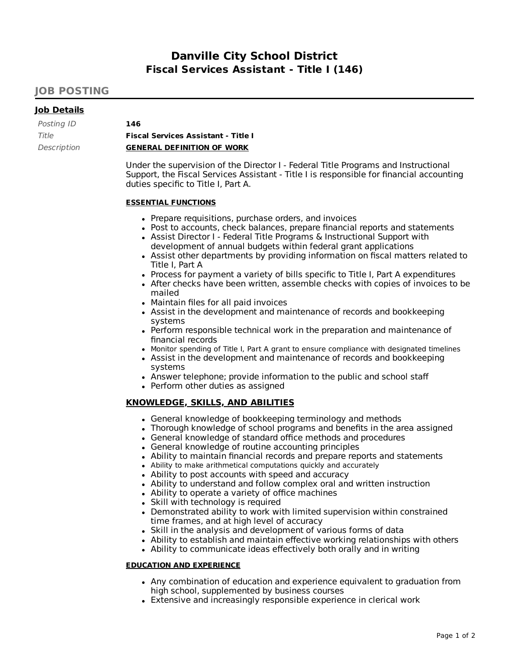# **Danville City School District Fiscal Services Assistant - Title I (146)**

# **JOB POSTING**

## **Job Details**

| Posting ID  | 146                                        |
|-------------|--------------------------------------------|
| Title       | <b>Fiscal Services Assistant - Title I</b> |
| Description | <b>GENERAL DEFINITION OF WORK</b>          |

Under the supervision of the Director I - Federal Title Programs and Instructional Support, the Fiscal Services Assistant - Title I is responsible for financial accounting duties specific to Title I, Part A.

#### **ESSENTIAL FUNCTIONS**

- Prepare requisitions, purchase orders, and invoices
- Post to accounts, check balances, prepare financial reports and statements
- Assist Director I Federal Title Programs & Instructional Support with development of annual budgets within federal grant applications
- Assist other departments by providing information on fiscal matters related to Title I, Part A
- Process for payment a variety of bills specific to Title I, Part A expenditures
- After checks have been written, assemble checks with copies of invoices to be mailed
- Maintain files for all paid invoices
- Assist in the development and maintenance of records and bookkeeping systems
- Perform responsible technical work in the preparation and maintenance of financial records
- Monitor spending of Title I, Part A grant to ensure compliance with designated timelines
- Assist in the development and maintenance of records and bookkeeping systems
- Answer telephone; provide information to the public and school staff
- Perform other duties as assigned

### **KNOWLEDGE, SKILLS, AND ABILITIES**

- General knowledge of bookkeeping terminology and methods
- Thorough knowledge of school programs and benefits in the area assigned
- General knowledge of standard office methods and procedures
- General knowledge of routine accounting principles
- Ability to maintain financial records and prepare reports and statements
- Ability to make arithmetical computations quickly and accurately
- Ability to post accounts with speed and accuracy
- Ability to understand and follow complex oral and written instruction
- Ability to operate a variety of office machines
- Skill with technology is required
- Demonstrated ability to work with limited supervision within constrained time frames, and at high level of accuracy
- Skill in the analysis and development of various forms of data
- Ability to establish and maintain effective working relationships with others
- Ability to communicate ideas effectively both orally and in writing

#### **EDUCATION AND EXPERIENCE**

- Any combination of education and experience equivalent to graduation from high school, supplemented by business courses
- Extensive and increasingly responsible experience in clerical work